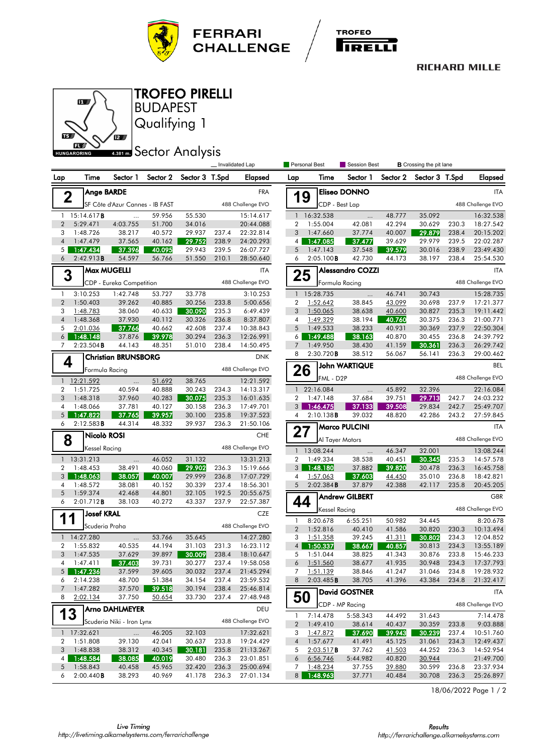

TROFEO PIRELLI

6 L



## **RICHARD MILLE**



18/06/2022 Page 1 / 2